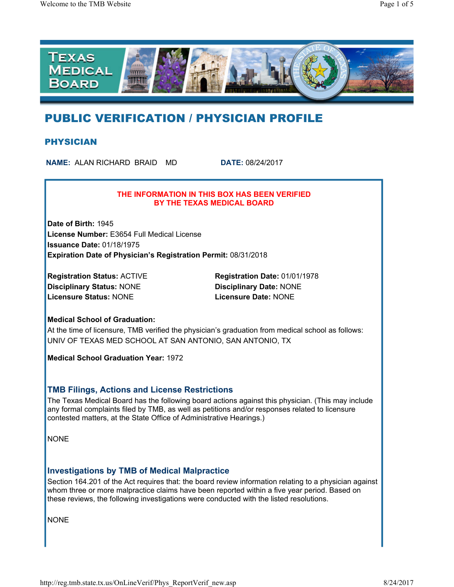

# PUBLIC VERIFICATION / PHYSICIAN PROFILE

### PHYSICIAN

**NAME:** ALAN RICHARD BRAID MD **DATE:** 08/24/2017

#### **THE INFORMATION IN THIS BOX HAS BEEN VERIFIED BY THE TEXAS MEDICAL BOARD**

**Date of Birth:** 1945 **License Number:** E3654 Full Medical License **Issuance Date:** 01/18/1975 **Expiration Date of Physician's Registration Permit:** 08/31/2018

**Disciplinary Status:** NONE **Disciplinary Date:** NONE **Licensure Status:** NONE **Licensure Date:** NONE

**Registration Status:** ACTIVE **Registration Date:** 01/01/1978

### **Medical School of Graduation:**

At the time of licensure, TMB verified the physician's graduation from medical school as follows: UNIV OF TEXAS MED SCHOOL AT SAN ANTONIO, SAN ANTONIO, TX

**Medical School Graduation Year:** 1972

### **TMB Filings, Actions and License Restrictions**

The Texas Medical Board has the following board actions against this physician. (This may include any formal complaints filed by TMB, as well as petitions and/or responses related to licensure contested matters, at the State Office of Administrative Hearings.)

NONE

### **Investigations by TMB of Medical Malpractice**

Section 164.201 of the Act requires that: the board review information relating to a physician against whom three or more malpractice claims have been reported within a five year period. Based on these reviews, the following investigations were conducted with the listed resolutions.

NONE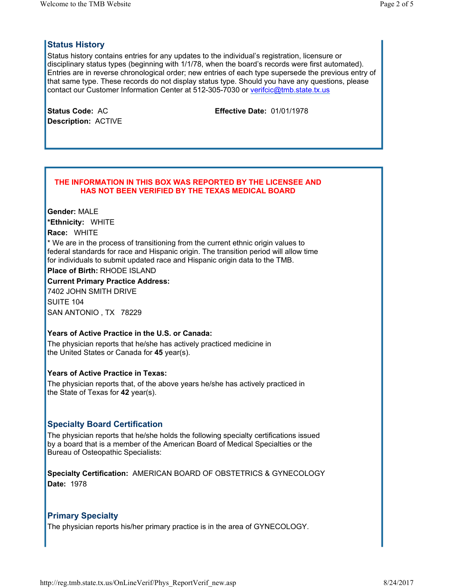# **Status History**

Status history contains entries for any updates to the individual's registration, licensure or disciplinary status types (beginning with 1/1/78, when the board's records were first automated). Entries are in reverse chronological order; new entries of each type supersede the previous entry of that same type. These records do not display status type. Should you have any questions, please contact our Customer Information Center at 512-305-7030 or verifcic@tmb.state.tx.us

| <b>Status Code: AC</b>     |  |
|----------------------------|--|
| <b>Description: ACTIVE</b> |  |

**Effective Date:** 01/01/1978

#### **THE INFORMATION IN THIS BOX WAS REPORTED BY THE LICENSEE AND HAS NOT BEEN VERIFIED BY THE TEXAS MEDICAL BOARD**

**Gender:** MALE **\*Ethnicity:** WHITE **Race:** WHITE

\* We are in the process of transitioning from the current ethnic origin values to federal standards for race and Hispanic origin. The transition period will allow time for individuals to submit updated race and Hispanic origin data to the TMB.

**Place of Birth:** RHODE ISLAND

**Current Primary Practice Address:** 7402 JOHN SMITH DRIVE SUITE 104 SAN ANTONIO , TX 78229

### **Years of Active Practice in the U.S. or Canada:**

The physician reports that he/she has actively practiced medicine in the United States or Canada for **45** year(s).

### **Years of Active Practice in Texas:**

The physician reports that, of the above years he/she has actively practiced in the State of Texas for **42** year(s).

# **Specialty Board Certification**

The physician reports that he/she holds the following specialty certifications issued by a board that is a member of the American Board of Medical Specialties or the Bureau of Osteopathic Specialists:

**Specialty Certification:** AMERICAN BOARD OF OBSTETRICS & GYNECOLOGY **Date:** 1978

### **Primary Specialty**

The physician reports his/her primary practice is in the area of GYNECOLOGY.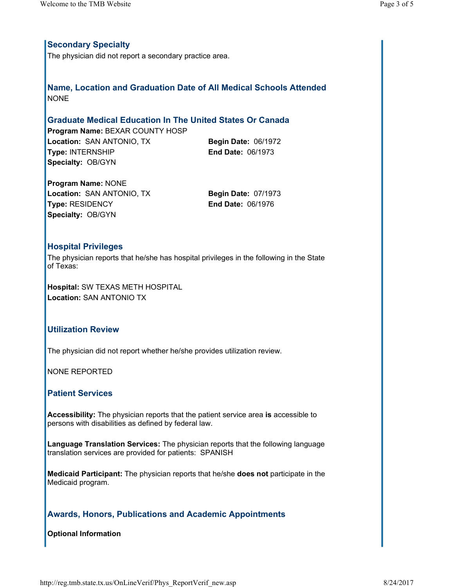# **Secondary Specialty**

The physician did not report a secondary practice area.

**Name, Location and Graduation Date of All Medical Schools Attended NONE** 

# **Graduate Medical Education In The United States Or Canada**

**Program Name:** BEXAR COUNTY HOSP **Location:** SAN ANTONIO, TX **Begin Date:** 06/1972 **Type:** INTERNSHIP **End Date:** 06/1973 **Specialty:** OB/GYN

**Program Name:** NONE **Location:** SAN ANTONIO, TX **Begin Date:** 07/1973 **Type:** RESIDENCY **End Date:** 06/1976 **Specialty:** OB/GYN

### **Hospital Privileges**

The physician reports that he/she has hospital privileges in the following in the State of Texas:

**Hospital:** SW TEXAS METH HOSPITAL **Location:** SAN ANTONIO TX

### **Utilization Review**

The physician did not report whether he/she provides utilization review.

NONE REPORTED

### **Patient Services**

**Accessibility:** The physician reports that the patient service area **is** accessible to persons with disabilities as defined by federal law.

**Language Translation Services:** The physician reports that the following language translation services are provided for patients: SPANISH

**Medicaid Participant:** The physician reports that he/she **does not** participate in the Medicaid program.

# **Awards, Honors, Publications and Academic Appointments**

### **Optional Information**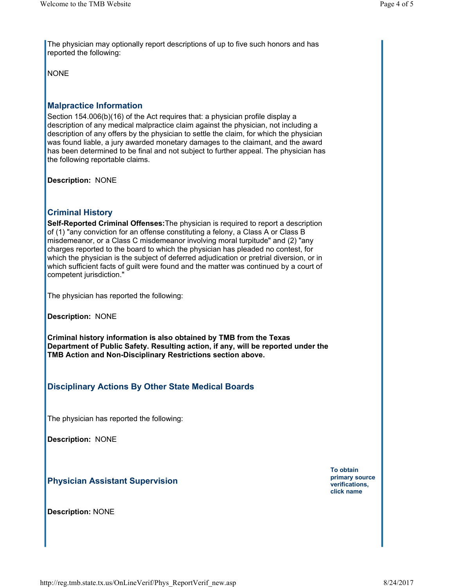The physician may optionally report descriptions of up to five such honors and has reported the following:

NONE

## **Malpractice Information**

Section 154.006(b)(16) of the Act requires that: a physician profile display a description of any medical malpractice claim against the physician, not including a description of any offers by the physician to settle the claim, for which the physician was found liable, a jury awarded monetary damages to the claimant, and the award has been determined to be final and not subject to further appeal. The physician has the following reportable claims.

**Description:** NONE

### **Criminal History**

**Self-Reported Criminal Offenses:**The physician is required to report a description of (1) "any conviction for an offense constituting a felony, a Class A or Class B misdemeanor, or a Class C misdemeanor involving moral turpitude" and (2) "any charges reported to the board to which the physician has pleaded no contest, for which the physician is the subject of deferred adjudication or pretrial diversion, or in which sufficient facts of guilt were found and the matter was continued by a court of competent jurisdiction."

The physician has reported the following:

**Description:** NONE

**Criminal history information is also obtained by TMB from the Texas Department of Public Safety. Resulting action, if any, will be reported under the TMB Action and Non-Disciplinary Restrictions section above.** 

### **Disciplinary Actions By Other State Medical Boards**

The physician has reported the following:

**Description:** NONE

### **Physician Assistant Supervision**

**Description:** NONE

**To obtain primary source verifications, click name**